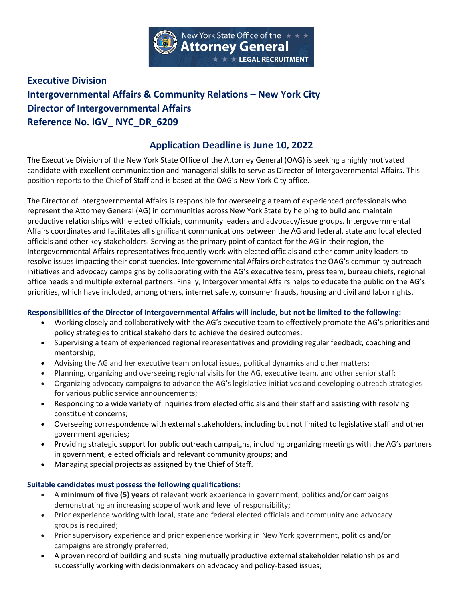

# **Executive Division Intergovernmental Affairs & Community Relations – New York City Director of Intergovernmental Affairs Reference No. IGV\_ NYC\_DR\_6209**

# **Application Deadline is June 10, 2022**

The Executive Division of the New York State Office of the Attorney General (OAG) is seeking a highly motivated candidate with excellent communication and managerial skills to serve as Director of Intergovernmental Affairs. This position reports to the Chief of Staff and is based at the OAG's New York City office.

The Director of Intergovernmental Affairs is responsible for overseeing a team of experienced professionals who represent the Attorney General (AG) in communities across New York State by helping to build and maintain productive relationships with elected officials, community leaders and advocacy/issue groups. Intergovernmental Affairs coordinates and facilitates all significant communications between the AG and federal, state and local elected officials and other key stakeholders. Serving as the primary point of contact for the AG in their region, the Intergovernmental Affairs representatives frequently work with elected officials and other community leaders to resolve issues impacting their constituencies. Intergovernmental Affairs orchestrates the OAG's community outreach initiatives and advocacy campaigns by collaborating with the AG's executive team, press team, bureau chiefs, regional office heads and multiple external partners. Finally, Intergovernmental Affairs helps to educate the public on the AG's priorities, which have included, among others, internet safety, consumer frauds, housing and civil and labor rights.

# **Responsibilities of the Director of Intergovernmental Affairs will include, but not be limited to the following:**

- Working closely and collaboratively with the AG's executive team to effectively promote the AG's priorities and policy strategies to critical stakeholders to achieve the desired outcomes;
- Supervising a team of experienced regional representatives and providing regular feedback, coaching and mentorship;
- Advising the AG and her executive team on local issues, political dynamics and other matters;
- Planning, organizing and overseeing regional visits for the AG, executive team, and other senior staff;
- Organizing advocacy campaigns to advance the AG's legislative initiatives and developing outreach strategies for various public service announcements;
- Responding to a wide variety of inquiries from elected officials and their staff and assisting with resolving constituent concerns;
- Overseeing correspondence with external stakeholders, including but not limited to legislative staff and other government agencies;
- Providing strategic support for public outreach campaigns, including organizing meetings with the AG's partners in government, elected officials and relevant community groups; and
- Managing special projects as assigned by the Chief of Staff.

#### **Suitable candidates must possess the following qualifications:**

- A **minimum of five (5) years** of relevant work experience in government, politics and/or campaigns demonstrating an increasing scope of work and level of responsibility;
- Prior experience working with local, state and federal elected officials and community and advocacy groups is required;
- Prior supervisory experience and prior experience working in New York government, politics and/or campaigns are strongly preferred;
- A proven record of building and sustaining mutually productive external stakeholder relationships and successfully working with decisionmakers on advocacy and policy-based issues;